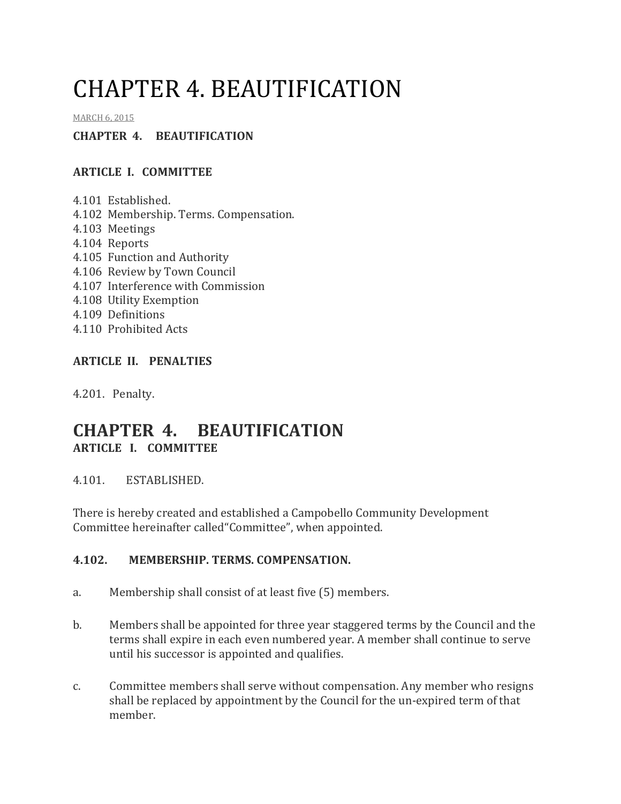# CHAPTER 4. BEAUTIFICATION

#### MARCH 6, 2015

#### **CHAPTER 4. BEAUTIFICATION**

#### **ARTICLE I. COMMITTEE**

- 4.101 Established.
- 4.102 Membership. Terms. Compensation.
- 4.103 Meetings
- 4.104 Reports
- 4.105 Function and Authority
- 4.106 Review by Town Council
- 4.107 Interference with Commission
- 4.108 Utility Exemption
- 4.109 Definitions
- 4.110 Prohibited Acts

### **ARTICLE II. PENALTIES**

4.201. Penalty.

## **CHAPTER 4. BEAUTIFICATION ARTICLE I. COMMITTEE**

4.101. ESTABLISHED.

There is hereby created and established a Campobello Community Development Committee hereinafter called"Committee", when appointed.

#### **4.102. MEMBERSHIP. TERMS. COMPENSATION.**

- a. Membership shall consist of at least five (5) members.
- b. Members shall be appointed for three year staggered terms by the Council and the terms shall expire in each even numbered year. A member shall continue to serve until his successor is appointed and qualifies.
- c. Committee members shall serve without compensation. Any member who resigns shall be replaced by appointment by the Council for the un-expired term of that member.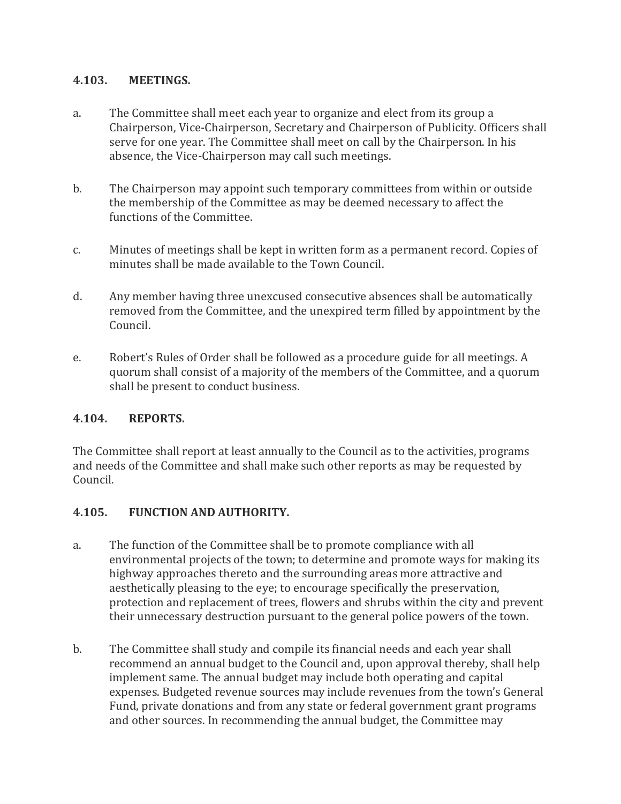#### **4.103. MEETINGS.**

- a. The Committee shall meet each year to organize and elect from its group a Chairperson, Vice-Chairperson, Secretary and Chairperson of Publicity. Officers shall serve for one year. The Committee shall meet on call by the Chairperson. In his absence, the Vice-Chairperson may call such meetings.
- b. The Chairperson may appoint such temporary committees from within or outside the membership of the Committee as may be deemed necessary to affect the functions of the Committee.
- c. Minutes of meetings shall be kept in written form as a permanent record. Copies of minutes shall be made available to the Town Council.
- d. Any member having three unexcused consecutive absences shall be automatically removed from the Committee, and the unexpired term filled by appointment by the Council.
- e. Robert's Rules of Order shall be followed as a procedure guide for all meetings. A quorum shall consist of a majority of the members of the Committee, and a quorum shall be present to conduct business.

#### **4.104. REPORTS.**

The Committee shall report at least annually to the Council as to the activities, programs and needs of the Committee and shall make such other reports as may be requested by Council.

#### **4.105. FUNCTION AND AUTHORITY.**

- a. The function of the Committee shall be to promote compliance with all environmental projects of the town; to determine and promote ways for making its highway approaches thereto and the surrounding areas more attractive and aesthetically pleasing to the eye; to encourage specifically the preservation, protection and replacement of trees, flowers and shrubs within the city and prevent their unnecessary destruction pursuant to the general police powers of the town.
- b. The Committee shall study and compile its financial needs and each year shall recommend an annual budget to the Council and, upon approval thereby, shall help implement same. The annual budget may include both operating and capital expenses. Budgeted revenue sources may include revenues from the town's General Fund, private donations and from any state or federal government grant programs and other sources. In recommending the annual budget, the Committee may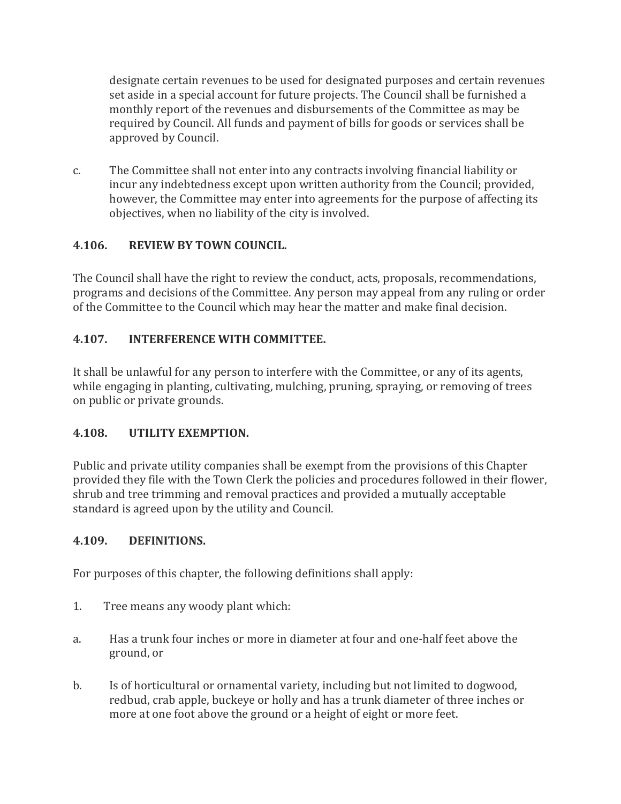designate certain revenues to be used for designated purposes and certain revenues set aside in a special account for future projects. The Council shall be furnished a monthly report of the revenues and disbursements of the Committee as may be required by Council. All funds and payment of bills for goods or services shall be approved by Council.

c. The Committee shall not enter into any contracts involving financial liability or incur any indebtedness except upon written authority from the Council; provided, however, the Committee may enter into agreements for the purpose of affecting its objectives, when no liability of the city is involved.

### **4.106. REVIEW BY TOWN COUNCIL.**

The Council shall have the right to review the conduct, acts, proposals, recommendations, programs and decisions of the Committee. Any person may appeal from any ruling or order of the Committee to the Council which may hear the matter and make final decision.

### **4.107. INTERFERENCE WITH COMMITTEE.**

It shall be unlawful for any person to interfere with the Committee, or any of its agents, while engaging in planting, cultivating, mulching, pruning, spraying, or removing of trees on public or private grounds.

#### **4.108. UTILITY EXEMPTION.**

Public and private utility companies shall be exempt from the provisions of this Chapter provided they file with the Town Clerk the policies and procedures followed in their flower, shrub and tree trimming and removal practices and provided a mutually acceptable standard is agreed upon by the utility and Council.

#### **4.109. DEFINITIONS.**

For purposes of this chapter, the following definitions shall apply:

- 1. Tree means any woody plant which:
- a. Has a trunk four inches or more in diameter at four and one-half feet above the ground, or
- b. Is of horticultural or ornamental variety, including but not limited to dogwood, redbud, crab apple, buckeye or holly and has a trunk diameter of three inches or more at one foot above the ground or a height of eight or more feet.